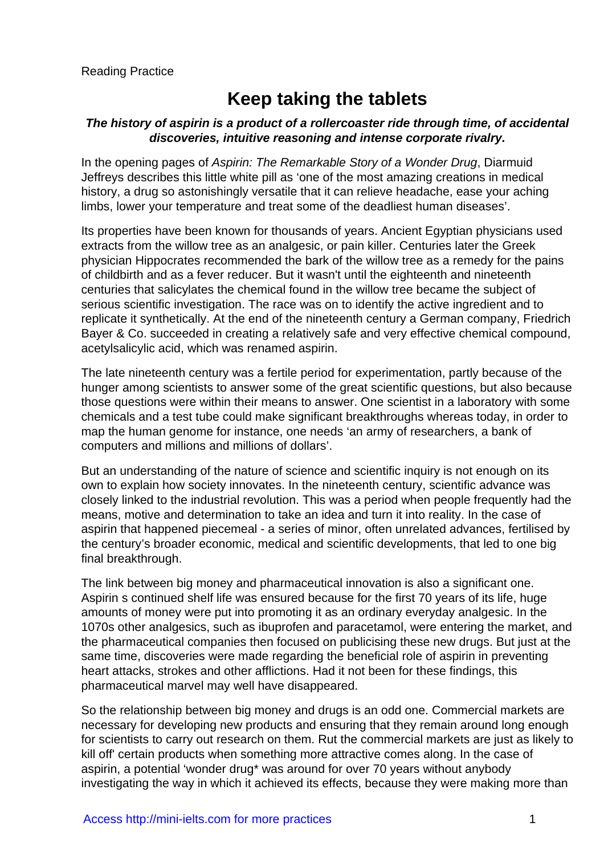# **Keep taking the tablets**

#### **The history of aspirin is a product of a rollercoaster ride through time, of accidental discoveries, intuitive reasoning and intense corporate rivalry.**

In the opening pages of Aspirin: The Remarkable Story of a Wonder Drug, Diarmuid Jeffreys describes this little white pill as 'one of the most amazing creations in medical history, a drug so astonishingly versatile that it can relieve headache, ease your aching limbs, lower your temperature and treat some of the deadliest human diseases'.

Its properties have been known for thousands of years. Ancient Egyptian physicians used extracts from the willow tree as an analgesic, or pain killer. Centuries later the Greek physician Hippocrates recommended the bark of the willow tree as a remedy for the pains of childbirth and as a fever reducer. But it wasn't until the eighteenth and nineteenth centuries that salicylates the chemical found in the willow tree became the subject of serious scientific investigation. The race was on to identify the active ingredient and to replicate it synthetically. At the end of the nineteenth century a German company, Friedrich Bayer & Co. succeeded in creating a relatively safe and very effective chemical compound, acetylsalicylic acid, which was renamed aspirin.

The late nineteenth century was a fertile period for experimentation, partly because of the hunger among scientists to answer some of the great scientific questions, but also because those questions were within their means to answer. One scientist in a laboratory with some chemicals and a test tube could make significant breakthroughs whereas today, in order to map the human genome for instance, one needs 'an army of researchers, a bank of computers and millions and millions of dollars'.

But an understanding of the nature of science and scientific inquiry is not enough on its own to explain how society innovates. In the nineteenth century, scientific advance was closely linked to the industrial revolution. This was a period when people frequently had the means, motive and determination to take an idea and turn it into reality. In the case of aspirin that happened piecemeal - a series of minor, often unrelated advances, fertilised by the century's broader economic, medical and scientific developments, that led to one big final breakthrough.

The link between big money and pharmaceutical innovation is also a significant one. Aspirin s continued shelf life was ensured because for the first 70 years of its life, huge amounts of money were put into promoting it as an ordinary everyday analgesic. In the 1070s other analgesics, such as ibuprofen and paracetamol, were entering the market, and the pharmaceutical companies then focused on publicising these new drugs. But just at the same time, discoveries were made regarding the beneficial role of aspirin in preventing heart attacks, strokes and other afflictions. Had it not been for these findings, this pharmaceutical marvel may well have disappeared.

So the relationship between big money and drugs is an odd one. Commercial markets are necessary for developing new products and ensuring that they remain around long enough for scientists to carry out research on them. Rut the commercial markets are just as likely to kill off' certain products when something more attractive comes along. In the case of aspirin, a potential 'wonder drug\* was around for over 70 years without anybody investigating the way in which it achieved its effects, because they were making more than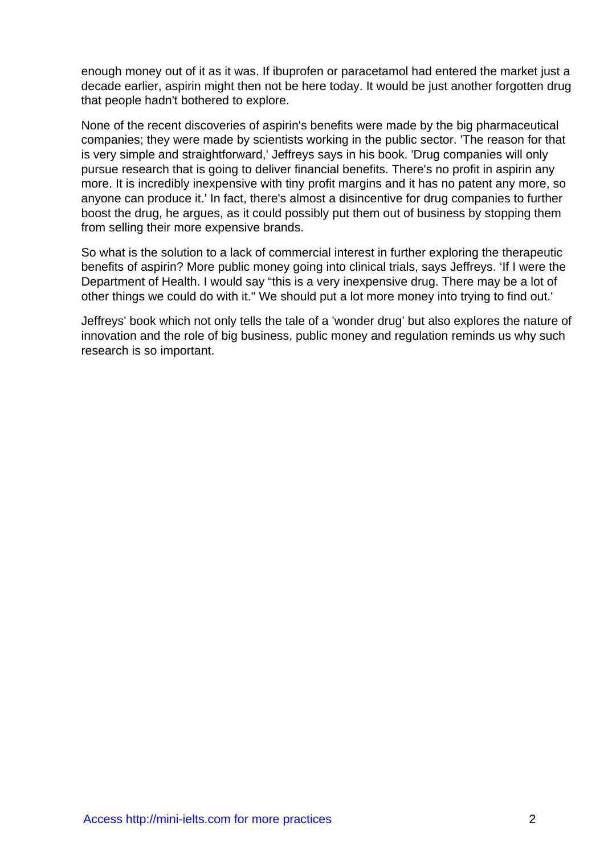enough money out of it as it was. If ibuprofen or paracetamol had entered the market just a decade earlier, aspirin might then not be here today. It would be just another forgotten drug that people hadn't bothered to explore.

None of the recent discoveries of aspirin's benefits were made by the big pharmaceutical companies; they were made by scientists working in the public sector. 'The reason for that is very simple and straightforward,' Jeffreys says in his book. 'Drug companies will only pursue research that is going to deliver financial benefits. There's no profit in aspirin any more. It is incredibly inexpensive with tiny profit margins and it has no patent any more, so anyone can produce it.' In fact, there's almost a disincentive for drug companies to further boost the drug, he argues, as it could possibly put them out of business by stopping them from selling their more expensive brands.

So what is the solution to a lack of commercial interest in further exploring the therapeutic benefits of aspirin? More public money going into clinical trials, says Jeffreys. 'If I were the Department of Health. I would say "this is a very inexpensive drug. There may be a lot of other things we could do with it." We should put a lot more money into trying to find out.'

Jeffreys' book which not only tells the tale of a 'wonder drug' but also explores the nature of innovation and the role of big business, public money and regulation reminds us why such research is so important.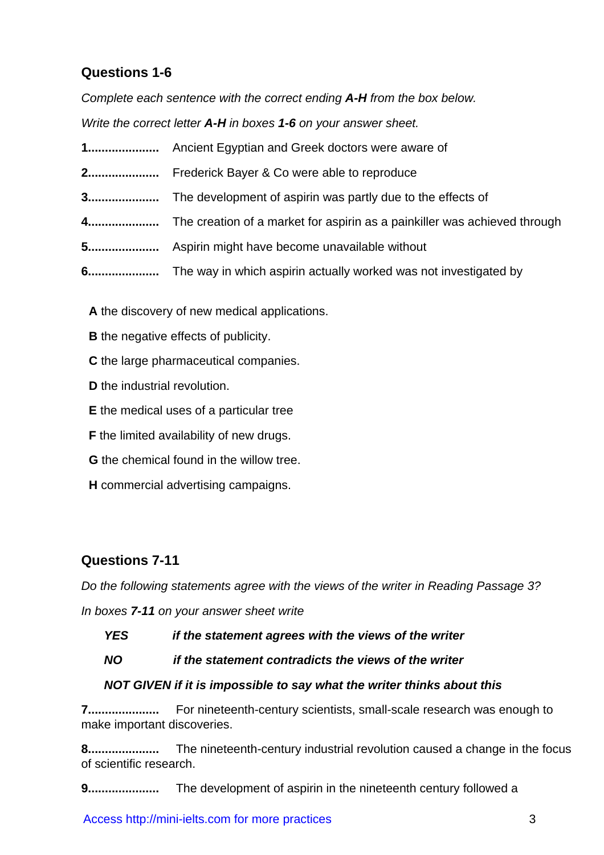## **Questions 1-6**

Complete each sentence with the correct ending **A-H** from the box below.

Write the correct letter **A-H** in boxes **1-6** on your answer sheet.

| 2 Frederick Bayer & Co were able to reproduce |
|-----------------------------------------------|
|                                               |
|                                               |
|                                               |
|                                               |

**A** the discovery of new medical applications.

- **B** the negative effects of publicity.
- **C** the large pharmaceutical companies.
- **D** the industrial revolution.
- **E** the medical uses of a particular tree
- **F** the limited availability of new drugs.
- **G** the chemical found in the willow tree.
- **H** commercial advertising campaigns.

### **Questions 7-11**

Do the following statements agree with the views of the writer in Reading Passage 3?

In boxes **7-11** on your answer sheet write

#### **YES if the statement agrees with the views of the writer**

**NO if the statement contradicts the views of the writer**

#### **NOT GIVEN if it is impossible to say what the writer thinks about this**

**7.....................** For nineteenth-century scientists, small-scale research was enough to make important discoveries.

**8.....................** The nineteenth-century industrial revolution caused a change in the focus of scientific research.

**9.....................** The development of aspirin in the nineteenth century followed a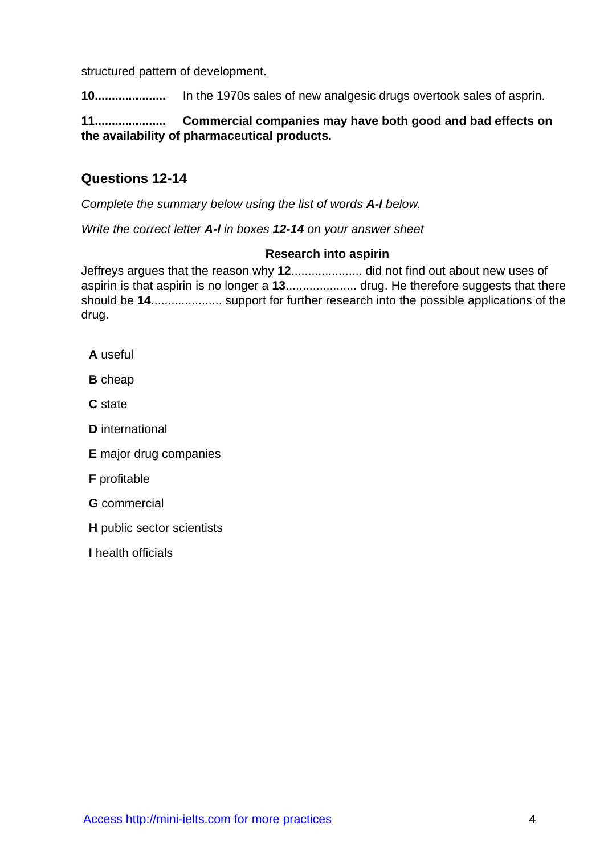structured pattern of development.

**10.....................** In the 1970s sales of new analgesic drugs overtook sales of asprin.

**11..................... Commercial companies may have both good and bad effects on the availability of pharmaceutical products.**

#### **Questions 12-14**

Complete the summary below using the list of words **A-l** below.

Write the correct letter **A-l** in boxes **12-14** on your answer sheet

#### **Research into aspirin**

Jeffreys argues that the reason why **12**..................... did not find out about new uses of aspirin is that aspirin is no longer a **13**..................... drug. He therefore suggests that there should be **14**..................... support for further research into the possible applications of the drug.

- **A** useful
- **B** cheap
- **C** state
- **D** international
- **E** major drug companies
- **F** profitable
- **G** commercial
- **H** public sector scientists
- **I** health officials